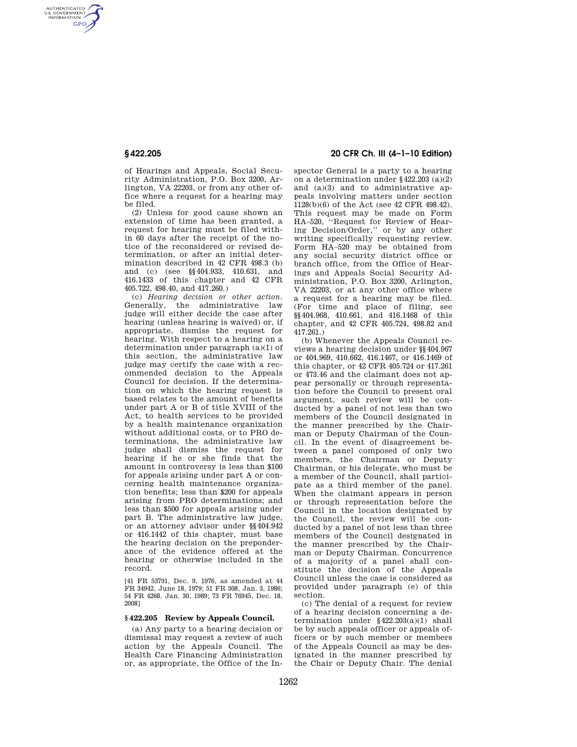AUTHENTICATED<br>U.S. GOVERNMENT<br>INFORMATION **GPO** 

> of Hearings and Appeals, Social Security Administration, P.O. Box 3200, Arlington, VA 22203, or from any other office where a request for a hearing may be filed.

> (2) Unless for good cause shown an extension of time has been granted, a request for hearing must be filed within 60 days after the receipt of the notice of the reconsidered or revised determination, or after an initial determination described in 42 CFR 498.3 (b) and (c) (see §§404.933, 410.631, and 416.1433 of this chapter and 42 CFR 405.722, 498.40, and 417.260.)

> (c) *Hearing decision or other action.*  Generally, the administrative law judge will either decide the case after hearing (unless hearing is waived) or, if appropriate, dismiss the request for hearing. With respect to a hearing on a determination under paragraph (a)(1) of this section, the administrative law judge may certify the case with a recommended decision to the Appeals Council for decision. If the determination on which the hearing request is based relates to the amount of benefits under part A or B of title XVIII of the Act, to health services to be provided by a health maintenance organization without additional costs, or to PRO determinations, the administrative law judge shall dismiss the request for hearing if he or she finds that the amount in controversy is less than \$100 for appeals arising under part A or concerning health maintenance organization benefits; less than \$200 for appeals arising from PRO determinations; and less than \$500 for appeals arising under part B. The administrative law judge, or an attorney advisor under §§404.942 or 416.1442 of this chapter, must base the hearing decision on the preponderance of the evidence offered at the hearing or otherwise included in the record.

[41 FR 53791, Dec. 9, 1976, as amended at 44 FR 34942, June 18, 1979; 51 FR 308, Jan. 3, 1986; 54 FR 4268, Jan. 30, 1989; 73 FR 76945, Dec. 18, 2008]

#### **§ 422.205 Review by Appeals Council.**

(a) Any party to a hearing decision or dismissal may request a review of such action by the Appeals Council. The Health Care Financing Administration or, as appropriate, the Office of the In-

# **§ 422.205 20 CFR Ch. III (4–1–10 Edition)**

spector General is a party to a hearing on a determination under §422.203 (a)(2) and (a)(3) and to administrative appeals involving matters under section 1128(b)(6) of the Act (see 42 CFR 498.42). This request may be made on Form HA–520, ''Request for Review of Hearing Decision/Order,'' or by any other writing specifically requesting review. Form HA–520 may be obtained from any social security district office or branch office, from the Office of Hearings and Appeals Social Security Administration, P.O. Box 3200, Arlington, VA 22203, or at any other office where a request for a hearing may be filed. (For time and place of filing, see §§404.968, 410.661, and 416.1468 of this chapter, and 42 CFR 405.724, 498.82 and  $417.261.$ 

(b) Whenever the Appeals Council reviews a hearing decision under §§404.967 or 404.969, 410.662, 416.1467, or 416.1469 of this chapter, or 42 CFR 405.724 or 417.261 or 473.46 and the claimant does not appear personally or through representation before the Council to present oral argument, such review will be conducted by a panel of not less than two members of the Council designated in the manner prescribed by the Chairman or Deputy Chairman of the Council. In the event of disagreement between a panel composed of only two members, the Chairman or Deputy Chairman, or his delegate, who must be a member of the Council, shall participate as a third member of the panel. When the claimant appears in person or through representation before the Council in the location designated by the Council, the review will be conducted by a panel of not less than three members of the Council designated in the manner prescribed by the Chairman or Deputy Chairman. Concurrence of a majority of a panel shall constitute the decision of the Appeals Council unless the case is considered as provided under paragraph (e) of this section.

(c) The denial of a request for review of a hearing decision concerning a determination under §422.203(a)(1) shall be by such appeals officer or appeals officers or by such member or members of the Appeals Council as may be designated in the manner prescribed by the Chair or Deputy Chair. The denial